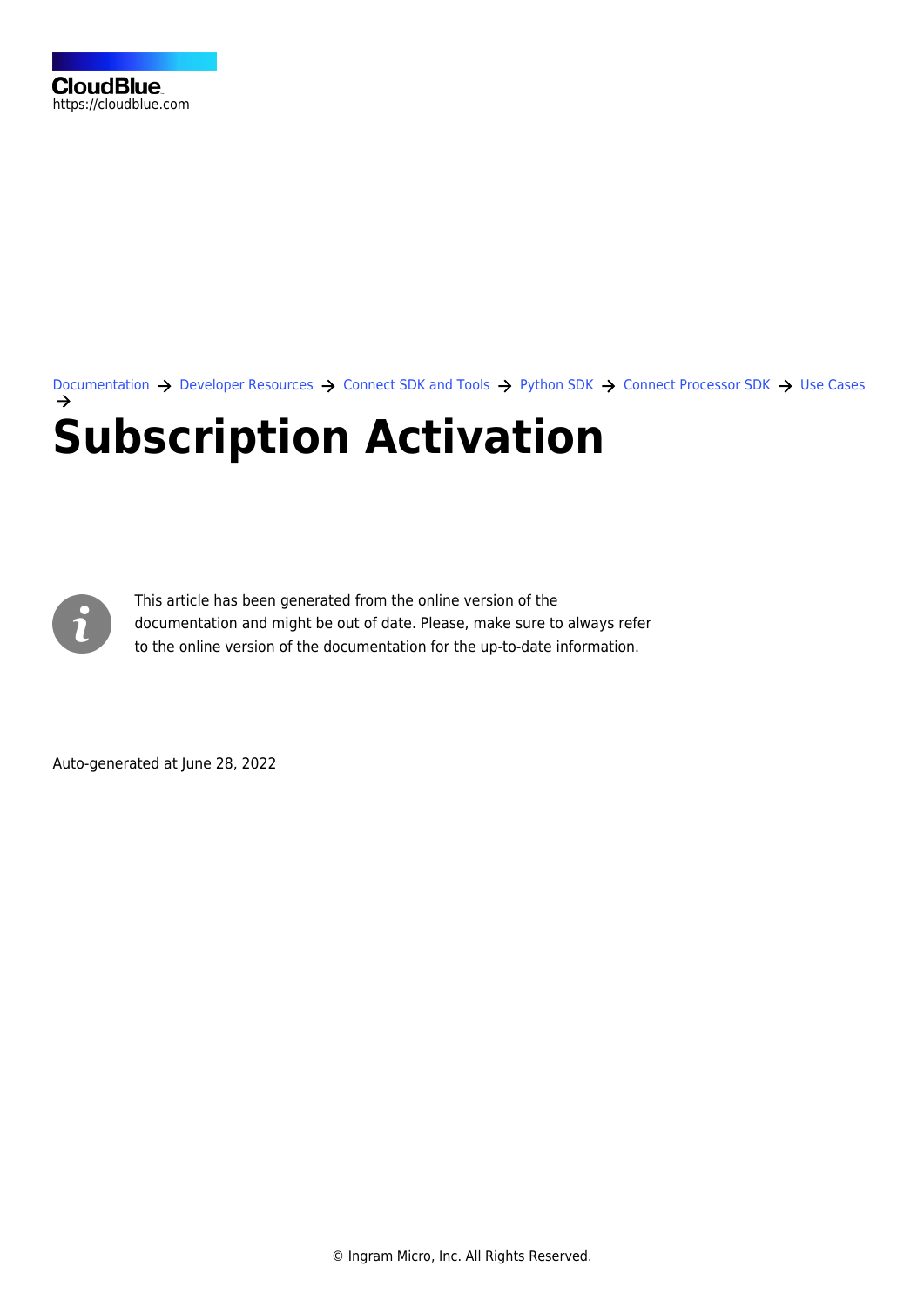[Documentation](https://connect.cloudblue.com/documentation)  $\rightarrow$  [Developer Resources](https://connect.cloudblue.com/community/developers/)  $\rightarrow$  [Connect SDK and Tools](https://connect.cloudblue.com/community/developers/sdk/)  $\rightarrow$  [Python SDK](https://connect.cloudblue.com/community/developers/sdk/python-sdk/)  $\rightarrow$  [Connect Processor SDK](https://connect.cloudblue.com/community/developers/sdk/python-sdk/connect-processor-sdk/)  $\rightarrow$  [Use Cases](https://connect.cloudblue.com/community/developers/sdk/python-sdk/connect-processor-sdk/use-cases/) **[Subscription Activation](https://connect.cloudblue.com/community/developers/sdk/python-sdk/connect-processor-sdk/use-cases/subscription-activation/)**



This article has been generated from the online version of the documentation and might be out of date. Please, make sure to always refer to the online version of the documentation for the up-to-date information.

Auto-generated at June 28, 2022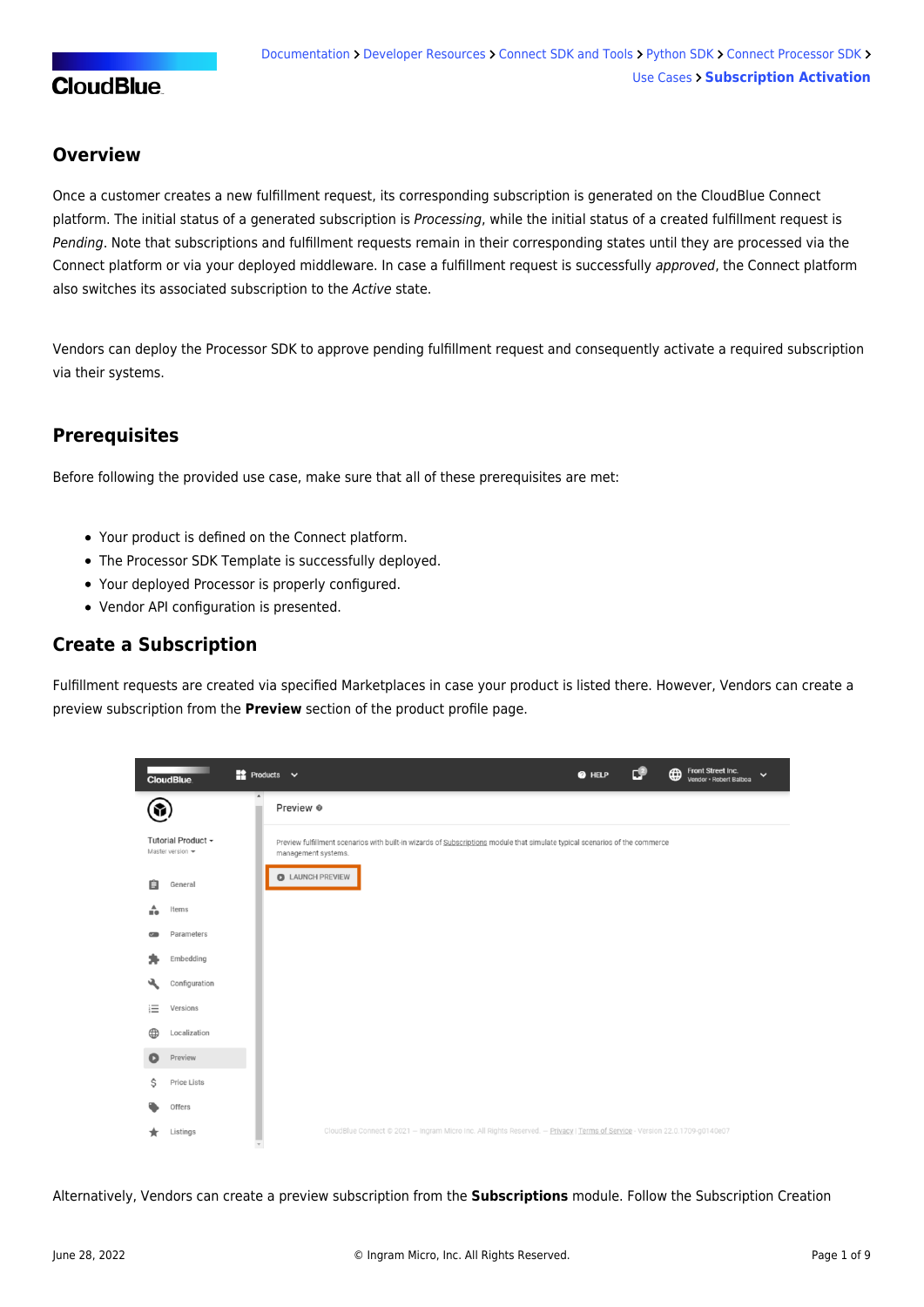### **Overview**

Once a customer creates a new fulfillment request, its corresponding subscription is generated on the CloudBlue Connect platform. The initial status of a generated subscription is Processing, while the initial status of a created fulfillment request is Pending. Note that subscriptions and fulfillment requests remain in their corresponding states until they are processed via the Connect platform or via your deployed middleware. In case a fulfillment request is successfully approved, the Connect platform also switches its associated subscription to the Active state.

Vendors can deploy the Processor SDK to approve pending fulfillment request and consequently activate a required subscription via their systems.

## **Prerequisites**

Before following the provided use case, make sure that all of these prerequisites are met:

- Your [product](https://connect.cloudblue.com/community/modules/products/) is defined on the Connect platform.
- The [Processor SDK Template](https://connect.cloudblue.com/community/sdk/connect-processor-sdk/processor-template/) is successfully deployed.
- Your deployed Processor is [properly configured.](https://connect.cloudblue.com/community/sdk/connect-processor-sdk/configuration/)
- [Vendor API configuration](https://connect.cloudblue.com/community/sdk/connect-processor-sdk/configuration/#Connection_configuration) is presented.

#### **Create a Subscription**

Fulfillment requests are created via specified Marketplaces in case your product is listed there. However, Vendors can create a preview subscription from the **Preview** section of the product profile page.

|          | <b>The County</b><br><b>CloudBlue</b>       |                  | $\bullet$ Products $\bullet$                                                                                                                       | @ HELP | €∟ | Front Street Inc.<br>$\bigoplus$<br>$\checkmark$<br>Vendor · Robert Balboa |  |
|----------|---------------------------------------------|------------------|----------------------------------------------------------------------------------------------------------------------------------------------------|--------|----|----------------------------------------------------------------------------|--|
| \$       |                                             | $\blacktriangle$ | Preview ®                                                                                                                                          |        |    |                                                                            |  |
|          | Tutorial Product -<br>Master version $\sim$ |                  | Preview fulfillment scenarios with built-in wizards of Subscriptions module that simulate typical scenarios of the commerce<br>management systems. |        |    |                                                                            |  |
| 自        | General                                     |                  | LAUNCH PREVIEW                                                                                                                                     |        |    |                                                                            |  |
| ÷        | Items                                       |                  |                                                                                                                                                    |        |    |                                                                            |  |
| $\sigma$ | Parameters                                  |                  |                                                                                                                                                    |        |    |                                                                            |  |
|          | Embedding                                   |                  |                                                                                                                                                    |        |    |                                                                            |  |
| પો       | Configuration                               |                  |                                                                                                                                                    |        |    |                                                                            |  |
| 這        | Versions                                    |                  |                                                                                                                                                    |        |    |                                                                            |  |
| ⊕        | Localization                                |                  |                                                                                                                                                    |        |    |                                                                            |  |
| O        | Preview                                     |                  |                                                                                                                                                    |        |    |                                                                            |  |
| Ŝ        | <b>Price Lists</b>                          |                  |                                                                                                                                                    |        |    |                                                                            |  |
|          | Offers                                      |                  |                                                                                                                                                    |        |    |                                                                            |  |
|          | Listings                                    |                  | CloudBlue Connect @ 2021 - Ingram Micro Inc. All Rights Reserved. - Privacy   Terms of Service - Version 22.0.1709-g0140e07                        |        |    |                                                                            |  |

Alternatively, Vendors can create a preview subscription from the **Subscriptions** module. Follow the [Subscription Creation](https://connect.cloudblue.com/community/modules/subscriptions/subscription-creation/)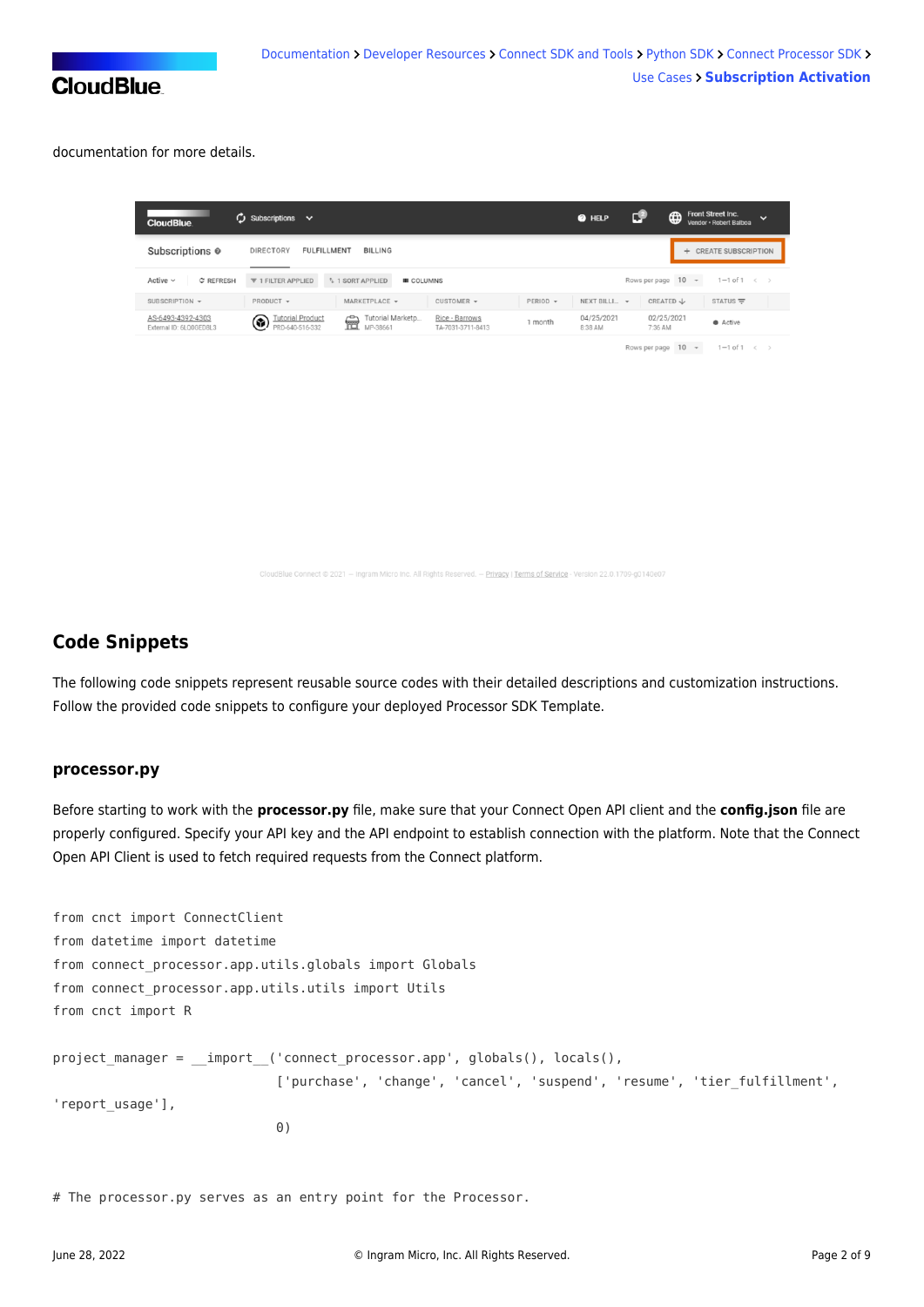

documentation for more details.

| <b>CloudBlue</b>                             | $\mathcal{C}$ Subscriptions $\vee$                   |                                                                     | <b>@</b> HELP                        | СŦ                    | Front Street Inc.<br>⊕<br>$\checkmark$<br>Vendor · Robert Balboa |
|----------------------------------------------|------------------------------------------------------|---------------------------------------------------------------------|--------------------------------------|-----------------------|------------------------------------------------------------------|
| Subscriptions <sup>o</sup>                   | <b>DIRECTORY</b><br><b>FULFILLMENT</b>               | <b>BILLING</b>                                                      |                                      |                       | <b>CREATE SUBSCRIPTION</b><br>$+$                                |
| Active $\sim$<br>C REFRESH                   | ₹ 1 FILTER APPLIED<br><sup>1</sup> 1 SORT APPLIED    | Rows per page 10 -<br>$1-1$ of $1 \leq$                             |                                      |                       |                                                                  |
| SUBSCRIPTION -                               | PRODUCT $\blacktriangledown$<br>MARKETPLACE =        | CUSTOMER $\sim$                                                     | $PERIOD \rightarrow$<br>NEXT BILLI ~ | CREATED ↓             | STATUS $\equiv$                                                  |
| AS-6493-4392-4303<br>External ID: 6LO0GED8L3 | <b>Futorial Product</b><br>壸<br>۹<br>PRD-640-516-332 | Tutorial Marketp<br>Rice - Barrows<br>MP-38661<br>TA-7031-3711-8413 | 04/25/2021<br>1 month<br>8:38 AM     | 02/25/2021<br>7:36 AM | $\bullet$ Active                                                 |
|                                              |                                                      |                                                                     |                                      |                       |                                                                  |

Rows per page  $10 \sim 1 - 1$  of  $1 \leq x$ 

- Ingram Micro Inc. All Rights Reserved. -- Privacy | Terms of Service - Version 22.0.1709-g0140e07

### **Code Snippets**

The following code snippets represent reusable source codes with their detailed descriptions and customization instructions. Follow the provided code snippets to configure your deployed [Processor SDK Template](https://github.com/cloudblue/connect-processor-template-for-python).

#### **processor.py**

Before starting to work with the **processor.py** file, make sure that your Connect Open API client and the **config.json** file are properly configured. Specify your API key and the API endpoint to establish connection with the platform. Note that the Connect Open API Client is used to fetch required requests from the Connect platform.

```
from cnct import ConnectClient
from datetime import datetime
from connect processor.app.utils.globals import Globals
from connect_processor.app.utils.utils import Utils
from cnct import R
project manager = __import ('connect processor.app', globals(), locals(),
                            ['purchase', 'change', 'cancel', 'suspend', 'resume', 'tier_fulfillment',
'report_usage'],
 0)
```
# The processor.py serves as an entry point for the Processor.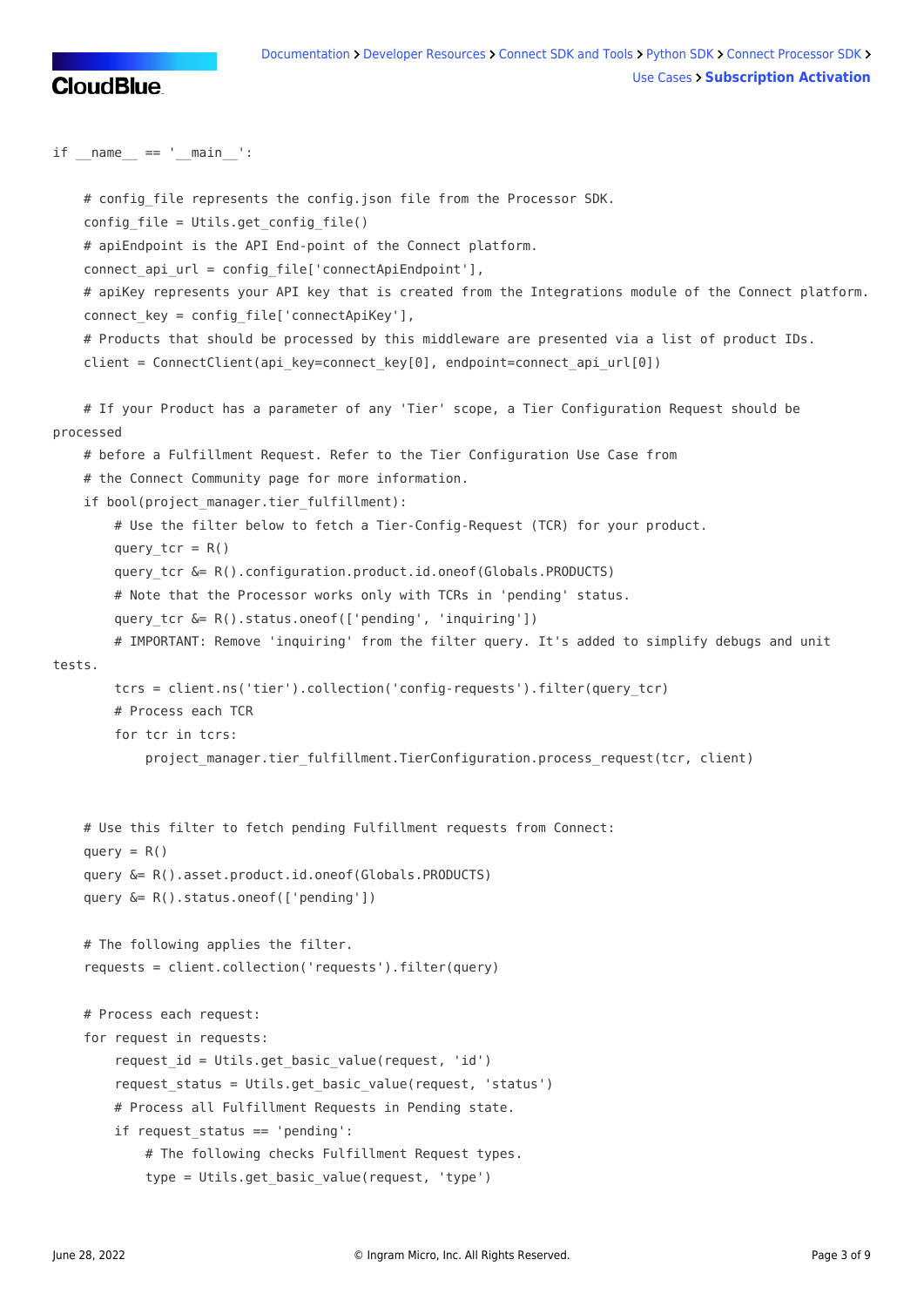

 $if$  name ==  $'$  main  $':$ 

```
# config file represents the config.json file from the Processor SDK.
     config_file = Utils.get_config_file()
     # apiEndpoint is the API End-point of the Connect platform.
    connect api url = config file['connectApiEndpoint'],
     # apiKey represents your API key that is created from the Integrations module of the Connect platform.
    connect key = config file['connectApiKey'],
     # Products that should be processed by this middleware are presented via a list of product IDs.
    client = ConnectClient(api key=connect key[0], endpoint=connect api url[0])
     # If your Product has a parameter of any 'Tier' scope, a Tier Configuration Request should be
processed
     # before a Fulfillment Request. Refer to the Tier Configuration Use Case from
     # the Connect Community page for more information.
    if bool(project manager.tier fulfillment):
         # Use the filter below to fetch a Tier-Config-Request (TCR) for your product.
        query tor = R()query tcr &= R().configuration.product.id.oneof(Globals.PRODUCTS)
         # Note that the Processor works only with TCRs in 'pending' status.
        query tcr &= R().status.oneof(['pending', 'inquiring'])
         # IMPORTANT: Remove 'inquiring' from the filter query. It's added to simplify debugs and unit
tests.
         tcrs = client.ns('tier').collection('config-requests').filter(query_tcr)
         # Process each TCR
         for tcr in tcrs:
            project_manager.tier_fulfillment.TierConfiguration.process_request(tcr, client)
     # Use this filter to fetch pending Fulfillment requests from Connect:
    query = R() query &= R().asset.product.id.oneof(Globals.PRODUCTS)
     query &= R().status.oneof(['pending'])
     # The following applies the filter.
     requests = client.collection('requests').filter(query)
     # Process each request:
     for request in requests:
         request_id = Utils.get_basic_value(request, 'id')
         request_status = Utils.get_basic_value(request, 'status')
         # Process all Fulfillment Requests in Pending state.
         if request_status == 'pending':
             # The following checks Fulfillment Request types.
             type = Utils.get_basic_value(request, 'type')
```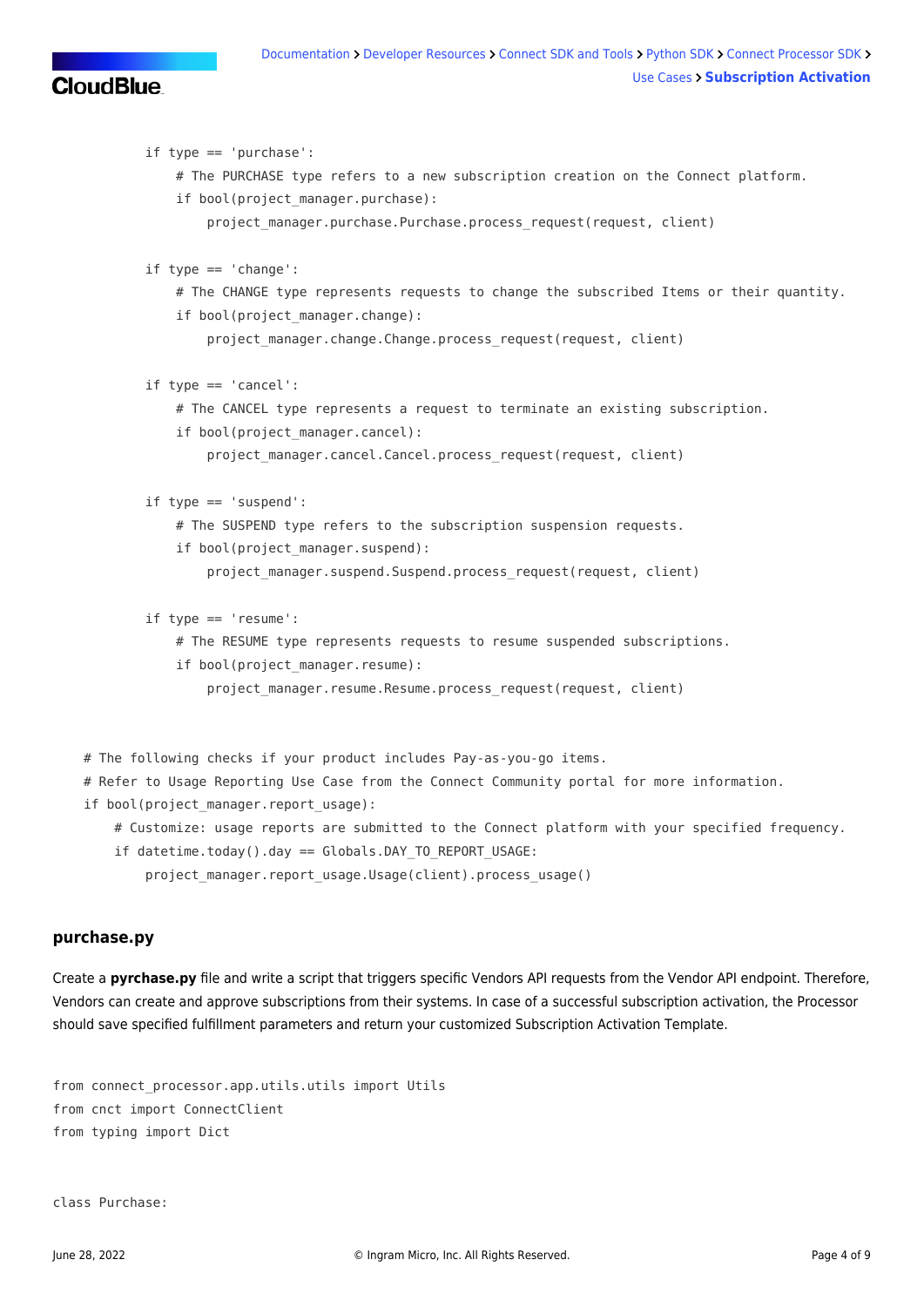```
 if type == 'purchase':
             # The PURCHASE type refers to a new subscription creation on the Connect platform.
            if bool(project manager.purchase):
                 project_manager.purchase.Purchase.process_request(request, client)
        if type == 'change': # The CHANGE type represents requests to change the subscribed Items or their quantity.
            if bool(project manager.change):
                project manager.change.Change.process request(request, client)
         if type == 'cancel':
             # The CANCEL type represents a request to terminate an existing subscription.
            if bool(project manager.cancel):
                project manager.cancel.Cancel.process request(request, client)
         if type == 'suspend':
             # The SUSPEND type refers to the subscription suspension requests.
            if bool(project manager.suspend):
                project manager.suspend.Suspend.process request(request, client)
         if type == 'resume':
             # The RESUME type represents requests to resume suspended subscriptions.
            if bool(project manager.resume):
                project manager.resume.Resume.process request(request, client)
 # The following checks if your product includes Pay-as-you-go items.
 # Refer to Usage Reporting Use Case from the Connect Community portal for more information.
if bool(project manager.report usage):
     # Customize: usage reports are submitted to the Connect platform with your specified frequency.
    if datetime.today().day == Globals.DAY TO REPORT USAGE:
        project manager.report usage.Usage(client).process usage()
```
#### **purchase.py**

Create a **pyrchase.py** file and write a script that triggers specific Vendors API requests from the Vendor API endpoint. Therefore, Vendors can create and approve subscriptions from their systems. In case of a successful subscription activation, the Processor should save specified [fulfillment parameters a](https://connect.cloudblue.com/community/modules/products/parameters/)nd return your customized [Subscription Activation Template.](https://connect.cloudblue.com/community/modules/products/embedding/#Subscription_Approved_Template)

```
from connect processor.app.utils.utils import Utils
from cnct import ConnectClient
from typing import Dict
```
class Purchase: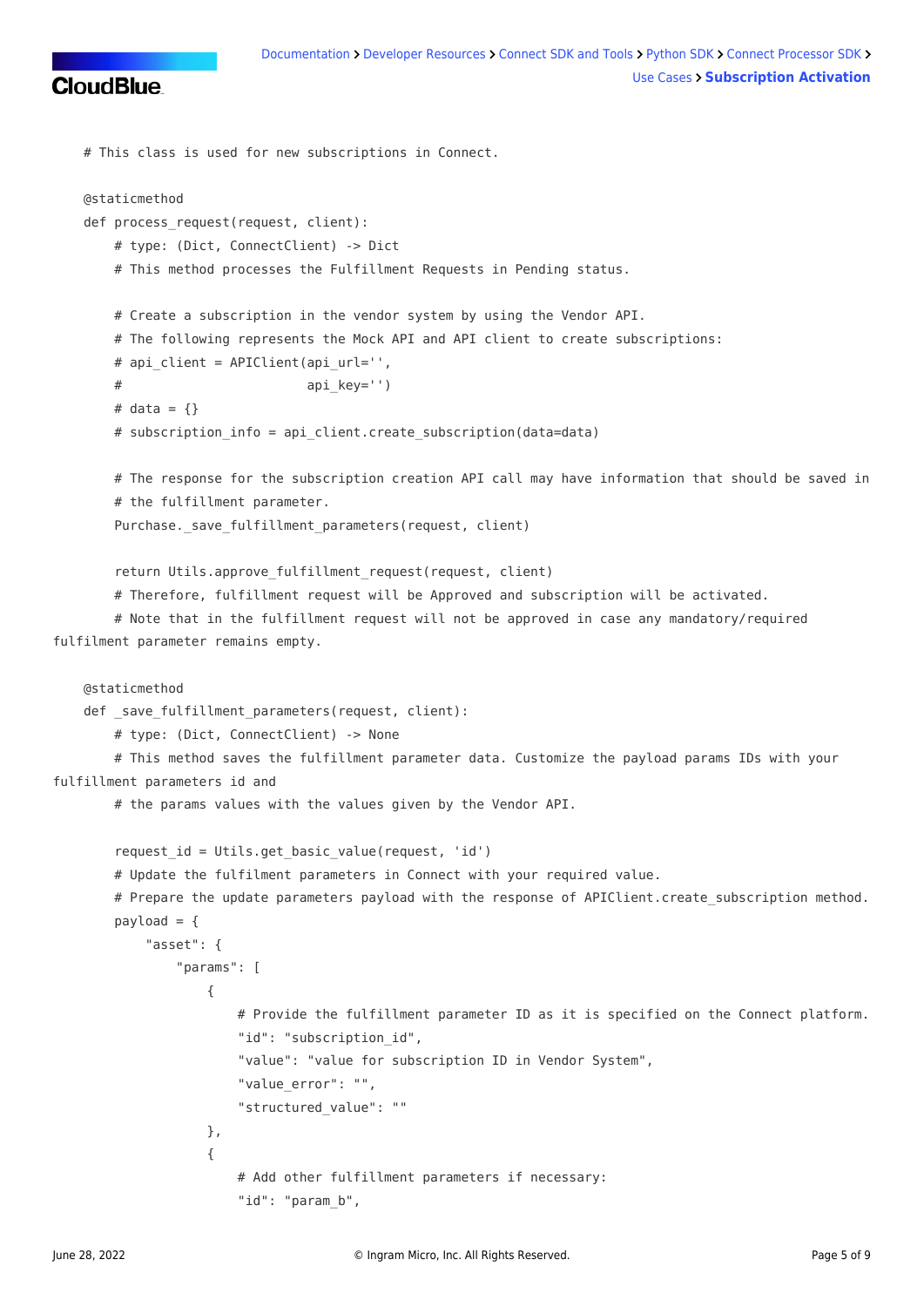

```
 # This class is used for new subscriptions in Connect.
    @staticmethod
    def process_request(request, client):
        # type: (Dict, ConnectClient) -> Dict
        # This method processes the Fulfillment Requests in Pending status.
        # Create a subscription in the vendor system by using the Vendor API.
        # The following represents the Mock API and API client to create subscriptions:
       # api client = APIClient(api url='',
       # api key='')
       # data = \{ \} # subscription_info = api_client.create_subscription(data=data)
        # The response for the subscription creation API call may have information that should be saved in
        # the fulfillment parameter.
       Purchase. save fulfillment parameters(request, client)
       return Utils.approve fulfillment request(request, client)
        # Therefore, fulfillment request will be Approved and subscription will be activated.
        # Note that in the fulfillment request will not be approved in case any mandatory/required
fulfilment parameter remains empty.
    @staticmethod
   def save fulfillment parameters(request, client):
        # type: (Dict, ConnectClient) -> None
        # This method saves the fulfillment parameter data. Customize the payload params IDs with your
fulfillment parameters id and
        # the params values with the values given by the Vendor API.
        request_id = Utils.get_basic_value(request, 'id')
        # Update the fulfilment parameters in Connect with your required value.
       # Prepare the update parameters payload with the response of APIClient.create subscription method.
       payload = \{ "asset": {
                "params": [
\{ # Provide the fulfillment parameter ID as it is specified on the Connect platform.
                       "id": "subscription id",
                        "value": "value for subscription ID in Vendor System",
                        "value_error": "",
                        "structured_value": ""
                    },
\{ # Add other fulfillment parameters if necessary:
                        "id": "param_b",
```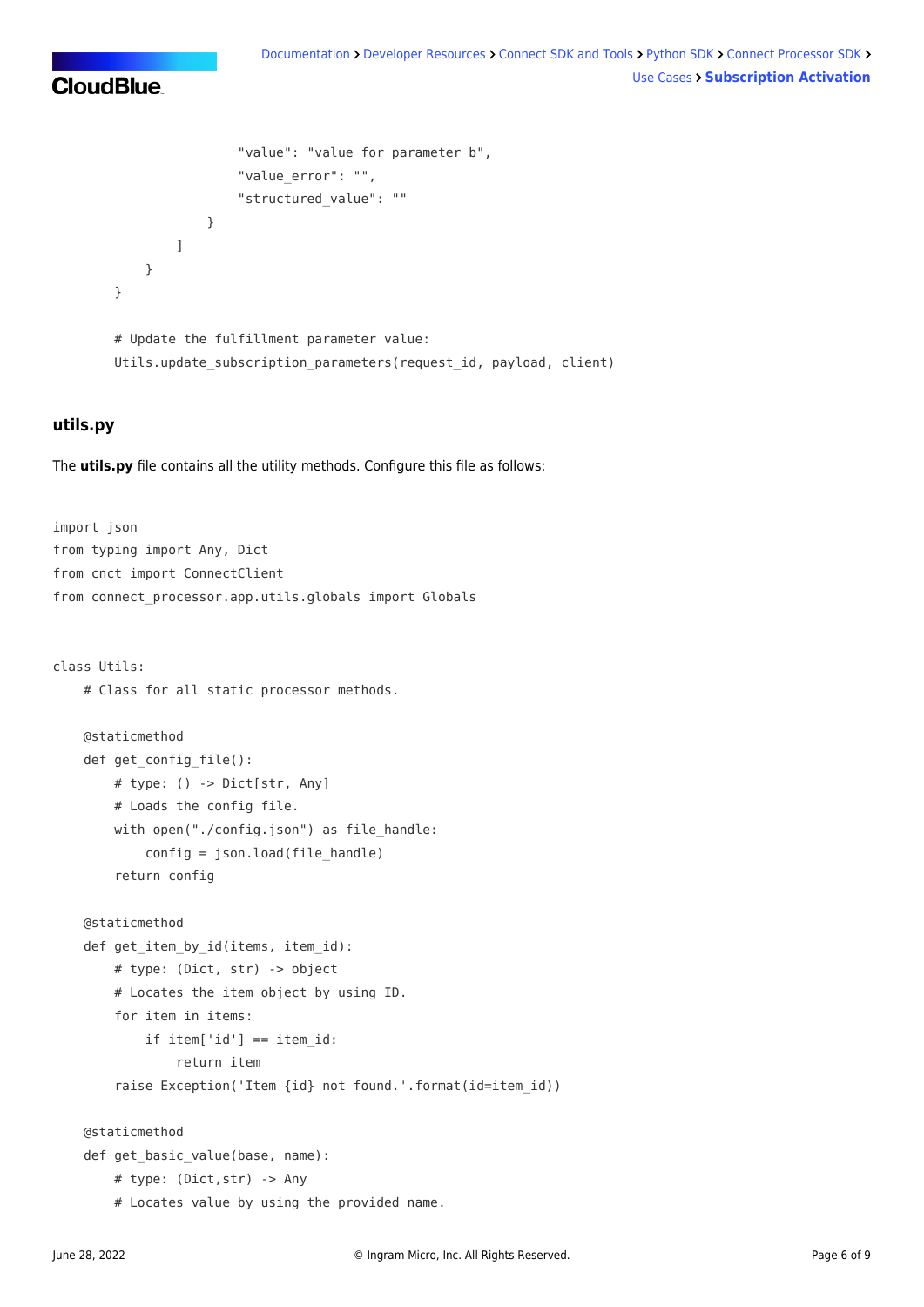```
 "value": "value for parameter b",
                                           "value_error": "",
                                           "structured_value": ""
 }
\sim 100 \sim 100 \sim 100 \sim 100 \sim 100 \sim 100 \sim 100 \sim 100 \sim 100 \sim 100 \sim 100 \sim 100 \sim 100 \sim 100 \sim 100 \sim 100 \sim 100 \sim 100 \sim 100 \sim 100 \sim 100 \sim 100 \sim 100 \sim 100 \sim 
 }
              }
              # Update the fulfillment parameter value:
               Utils.update_subscription_parameters(request_id, payload, client)
```
#### **utils.py**

The **utils.py** file contains all the utility methods. Configure this file as follows:

```
import json
from typing import Any, Dict
from cnct import ConnectClient
from connect processor.app.utils.globals import Globals
class Utils:
     # Class for all static processor methods.
     @staticmethod
    def get config file():
         # type: () -> Dict[str, Any]
         # Loads the config file.
        with open("./config.json") as file handle:
            config = json.load(file handle) return config
     @staticmethod
    def get item by id(items, item id):
         # type: (Dict, str) -> object
         # Locates the item object by using ID.
         for item in items:
            if item['id'] == item id:
                 return item
         raise Exception('Item {id} not found.'.format(id=item_id))
     @staticmethod
     def get_basic_value(base, name):
         # type: (Dict,str) -> Any
         # Locates value by using the provided name.
```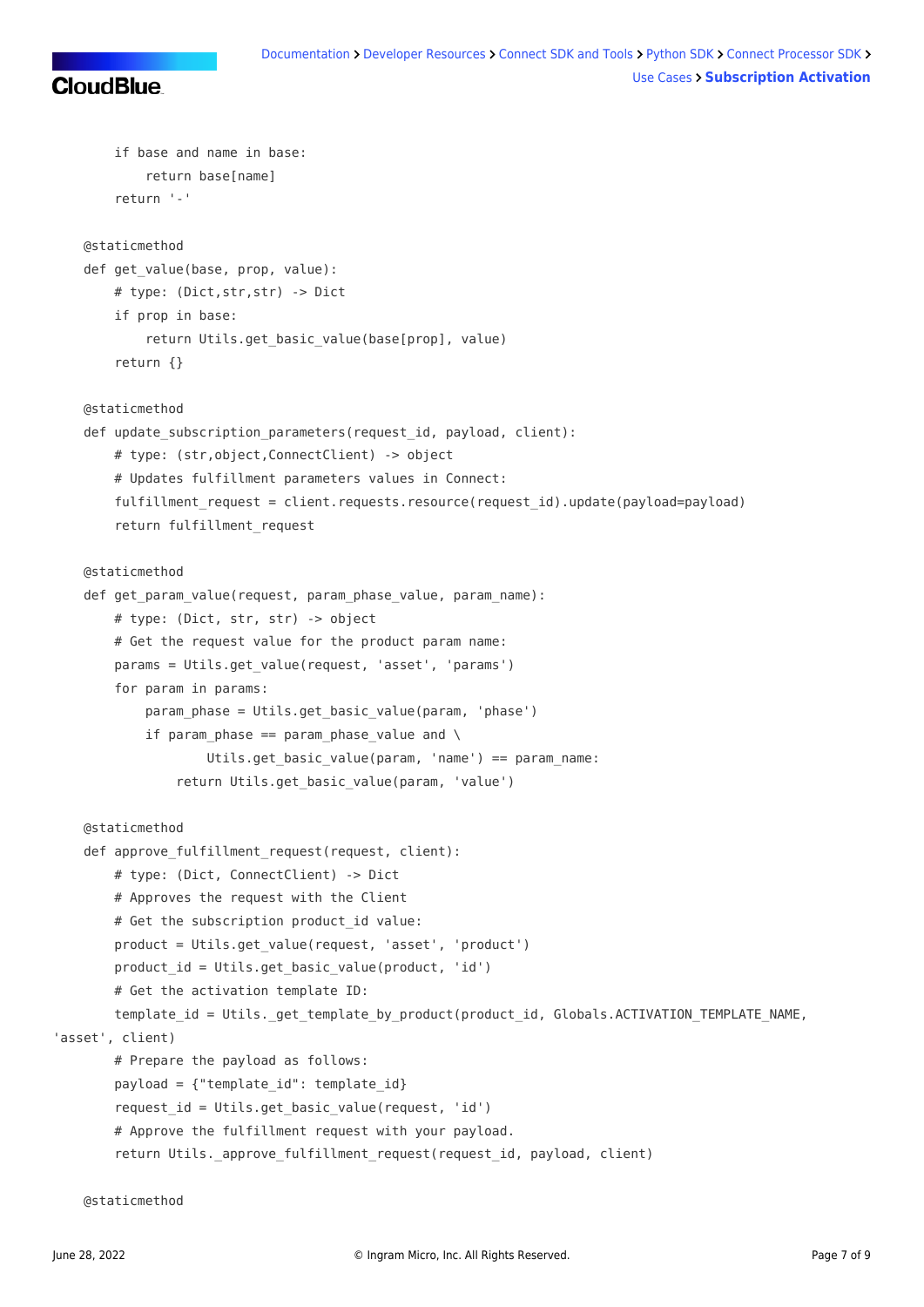```
 if base and name in base:
             return base[name]
         return '-'
    @staticmethod
   def get value(base, prop, value):
        # type: (Dict,str,str) -> Dict
        if prop in base:
             return Utils.get_basic_value(base[prop], value)
         return {}
    @staticmethod
   def update subscription parameters(request id, payload, client):
         # type: (str,object,ConnectClient) -> object
         # Updates fulfillment parameters values in Connect:
        fulfillment request = client.requests.resource(request id).update(payload=payload)
         return fulfillment_request
    @staticmethod
   def get param value(request, param phase value, param name):
         # type: (Dict, str, str) -> object
         # Get the request value for the product param name:
         params = Utils.get_value(request, 'asset', 'params')
         for param in params:
            param phase = Utils.get basic value(param, 'phase')
            if param phase == param phase value and \setminusUtils.get basic value(param, 'name') == param_name:
                 return Utils.get_basic_value(param, 'value')
    @staticmethod
   def approve fulfillment request(request, client):
         # type: (Dict, ConnectClient) -> Dict
         # Approves the request with the Client
        # Get the subscription product id value:
         product = Utils.get_value(request, 'asset', 'product')
        product id = Utils.get basic value(product, 'id') # Get the activation template ID:
       template id = Utils. get template by product(product id, Globals.ACTIVATION TEMPLATE NAME,
'asset', client)
        # Prepare the payload as follows:
        payload = {"template id": template id}
         request_id = Utils.get_basic_value(request, 'id')
         # Approve the fulfillment request with your payload.
         return Utils._approve_fulfillment_request(request_id, payload, client)
```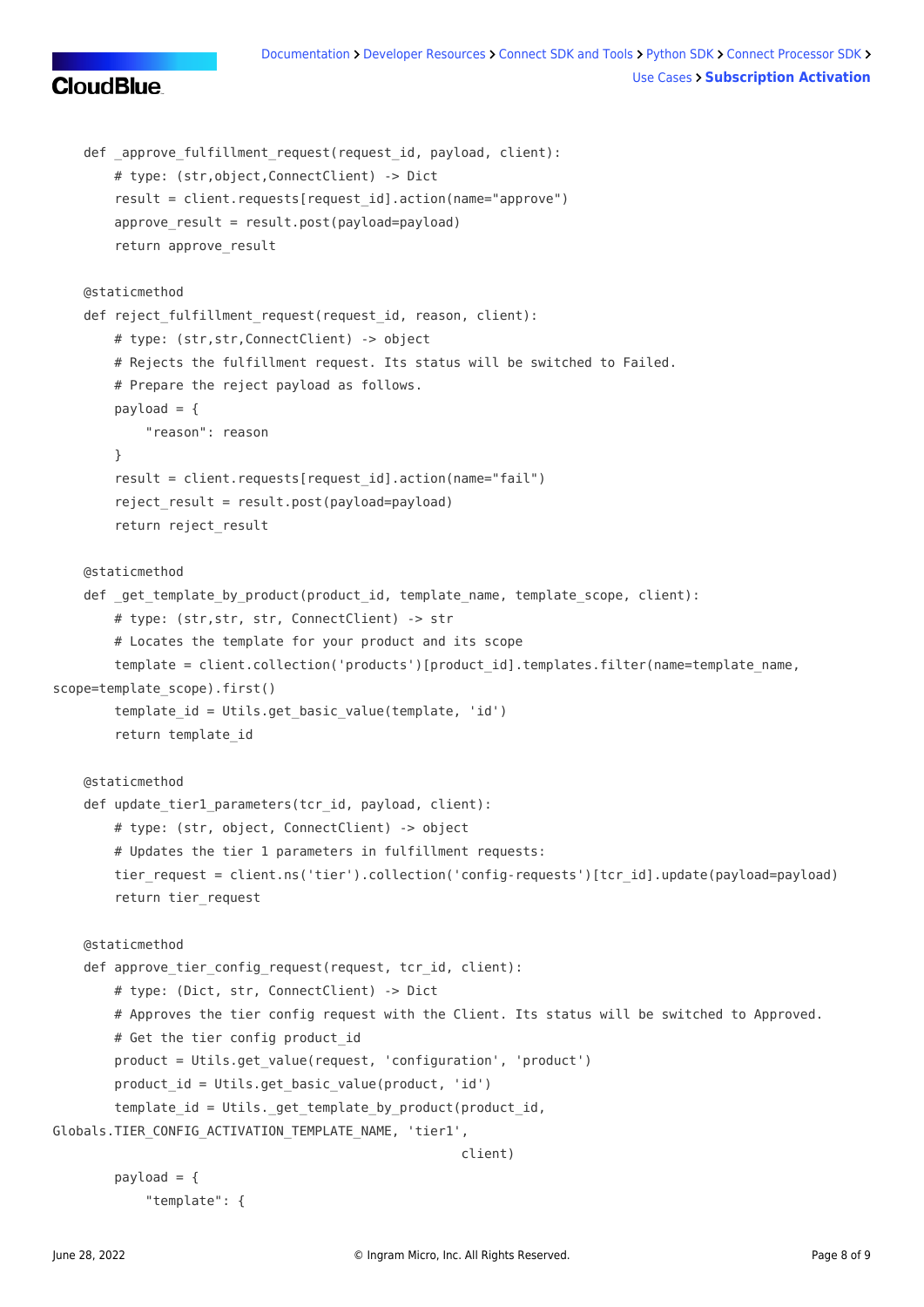#### [Documentation](https://connect.cloudblue.com/documentation) > [Developer Resources](https://connect.cloudblue.com/community/developers/) > [Connect SDK and Tools](https://connect.cloudblue.com/community/developers/sdk/) > [Python SDK](https://connect.cloudblue.com/community/developers/sdk/python-sdk/) > [Connect Processor SDK](https://connect.cloudblue.com/community/developers/sdk/python-sdk/connect-processor-sdk/) > [Use Cases](https://connect.cloudblue.com/community/developers/sdk/python-sdk/connect-processor-sdk/use-cases/) **[Subscription Activation](https://connect.cloudblue.com/community/developers/sdk/python-sdk/connect-processor-sdk/use-cases/subscription-activation/)**

```
CloudBlue
```

```
def approve fulfillment request(request id, payload, client):
         # type: (str,object,ConnectClient) -> Dict
        result = client.requests[request_id].action(name="approve")
         approve_result = result.post(payload=payload)
         return approve_result
     @staticmethod
    def reject fulfillment request(request id, reason, client):
         # type: (str,str,ConnectClient) -> object
         # Rejects the fulfillment request. Its status will be switched to Failed.
         # Prepare the reject payload as follows.
        payload = f "reason": reason
         }
        result = client.requests[request id].action(name="fail")
        reject result = result.post(payload=payload) return reject_result
     @staticmethod
    def get template by product(product id, template name, template scope, client):
         # type: (str,str, str, ConnectClient) -> str
         # Locates the template for your product and its scope
        template = client.collection('products')[product id].templates.filter(name=template name,
scope=template scope).first()
        template id = Utils.get basic value(template, 'id')
         return template_id
     @staticmethod
    def update tier1 parameters(tcr id, payload, client):
         # type: (str, object, ConnectClient) -> object
         # Updates the tier 1 parameters in fulfillment requests:
        tier request = client.ns('tier').collection('config-requests')[tcr_id].update(payload=payload)
         return tier_request
     @staticmethod
    def approve tier config request(request, tcr id, client):
         # type: (Dict, str, ConnectClient) -> Dict
         # Approves the tier config request with the Client. Its status will be switched to Approved.
        # Get the tier config product id
         product = Utils.get_value(request, 'configuration', 'product')
        product id = Utils.get basic value(product, 'id')
         template_id = Utils._get_template_by_product(product_id,
Globals.TIER_CONFIG_ACTIVATION_TEMPLATE_NAME, 'tier1',
                                                       client)
        payload = \{ "template": {
```